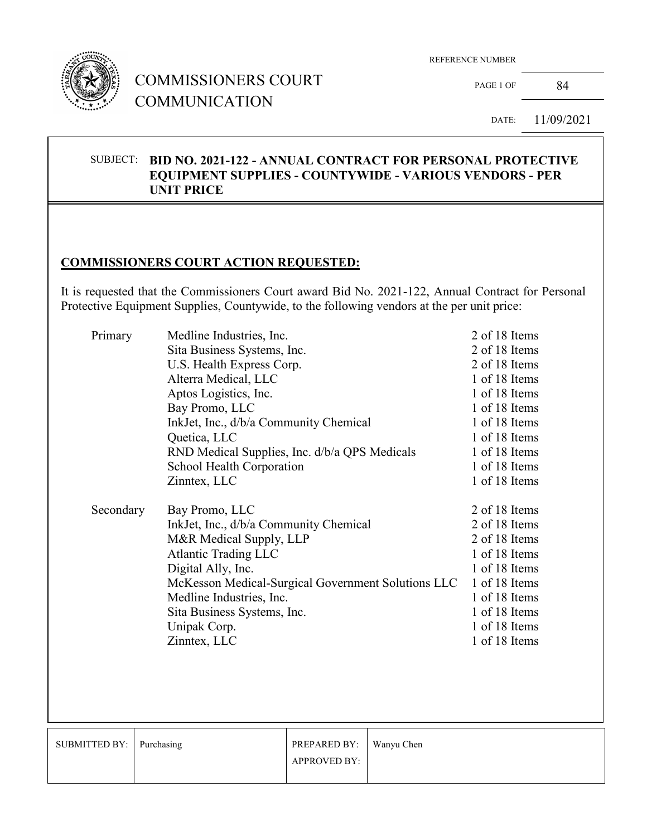

## COMMISSIONERS COURT **COMMUNICATION**

REFERENCE NUMBER

PAGE 1 OF 84

DATE: 11/09/2021

#### SUBJECT: **BID NO. 2021-122 - ANNUAL CONTRACT FOR PERSONAL PROTECTIVE EQUIPMENT SUPPLIES - COUNTYWIDE - VARIOUS VENDORS - PER UNIT PRICE**

### **COMMISSIONERS COURT ACTION REQUESTED:**

It is requested that the Commissioners Court award Bid No. 2021-122, Annual Contract for Personal Protective Equipment Supplies, Countywide, to the following vendors at the per unit price:

| Primary   | Medline Industries, Inc.                           | 2 of 18 Items |
|-----------|----------------------------------------------------|---------------|
|           | Sita Business Systems, Inc.                        | 2 of 18 Items |
|           | U.S. Health Express Corp.                          | 2 of 18 Items |
|           | Alterra Medical, LLC                               | 1 of 18 Items |
|           | Aptos Logistics, Inc.                              | 1 of 18 Items |
|           | Bay Promo, LLC                                     | 1 of 18 Items |
|           | InkJet, Inc., d/b/a Community Chemical             | 1 of 18 Items |
|           | Quetica, LLC                                       | 1 of 18 Items |
|           | RND Medical Supplies, Inc. d/b/a QPS Medicals      | 1 of 18 Items |
|           | School Health Corporation                          | 1 of 18 Items |
|           | Zinntex, LLC                                       | 1 of 18 Items |
| Secondary | Bay Promo, LLC                                     | 2 of 18 Items |
|           | InkJet, Inc., d/b/a Community Chemical             | 2 of 18 Items |
|           | M&R Medical Supply, LLP                            | 2 of 18 Items |
|           | <b>Atlantic Trading LLC</b>                        | 1 of 18 Items |
|           | Digital Ally, Inc.                                 | 1 of 18 Items |
|           | McKesson Medical-Surgical Government Solutions LLC | 1 of 18 Items |
|           | Medline Industries, Inc.                           | 1 of 18 Items |
|           | Sita Business Systems, Inc.                        | 1 of 18 Items |
|           | Unipak Corp.                                       | 1 of 18 Items |
|           |                                                    |               |
|           | Zinntex, LLC                                       | 1 of 18 Items |

| SUBMITTED BY:   Purchasing | PREPARED BY:        | Wanyu Chen |
|----------------------------|---------------------|------------|
|                            | <b>APPROVED BY:</b> |            |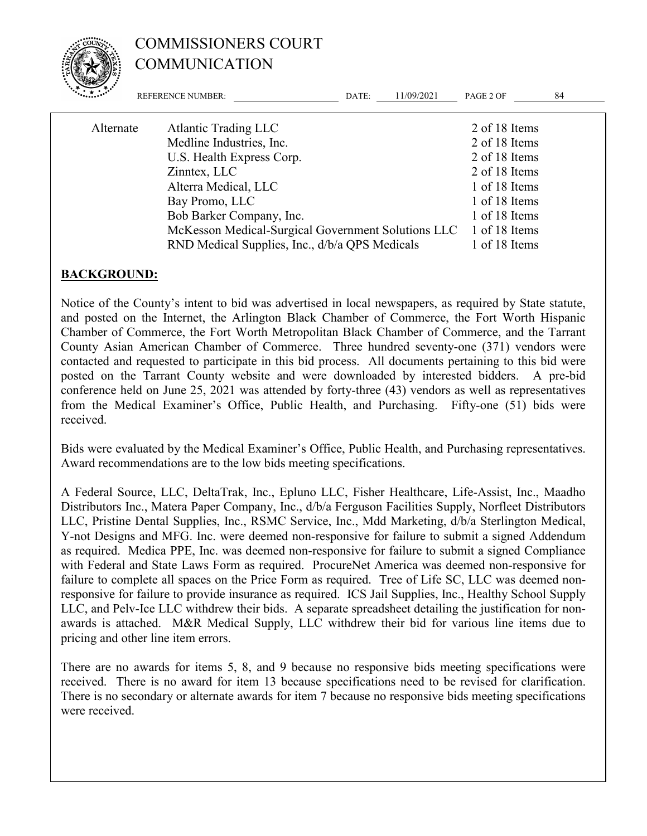

# COMMISSIONERS COURT COMMUNICATION

|           | <b>REFERENCE NUMBER:</b>                           | DATE: | 11/09/2021 | PAGE 2 OF     | 84 |
|-----------|----------------------------------------------------|-------|------------|---------------|----|
| Alternate | <b>Atlantic Trading LLC</b>                        |       |            | 2 of 18 Items |    |
|           | Medline Industries, Inc.                           |       |            | 2 of 18 Items |    |
|           | U.S. Health Express Corp.                          |       |            | 2 of 18 Items |    |
|           | Zinntex, LLC                                       |       |            | 2 of 18 Items |    |
|           | Alterra Medical, LLC                               |       |            | 1 of 18 Items |    |
|           | Bay Promo, LLC                                     |       |            | 1 of 18 Items |    |
|           | Bob Barker Company, Inc.                           |       |            | 1 of 18 Items |    |
|           | McKesson Medical-Surgical Government Solutions LLC |       |            | 1 of 18 Items |    |
|           | RND Medical Supplies, Inc., d/b/a QPS Medicals     |       |            | 1 of 18 Items |    |
|           |                                                    |       |            |               |    |

#### **BACKGROUND:**

Notice of the County's intent to bid was advertised in local newspapers, as required by State statute, and posted on the Internet, the Arlington Black Chamber of Commerce, the Fort Worth Hispanic Chamber of Commerce, the Fort Worth Metropolitan Black Chamber of Commerce, and the Tarrant County Asian American Chamber of Commerce. Three hundred seventy-one (371) vendors were contacted and requested to participate in this bid process. All documents pertaining to this bid were posted on the Tarrant County website and were downloaded by interested bidders. A pre-bid conference held on June 25, 2021 was attended by forty-three (43) vendors as well as representatives from the Medical Examiner's Office, Public Health, and Purchasing. Fifty-one (51) bids were received.

Bids were evaluated by the Medical Examiner's Office, Public Health, and Purchasing representatives. Award recommendations are to the low bids meeting specifications.

A Federal Source, LLC, DeltaTrak, Inc., Epluno LLC, Fisher Healthcare, Life-Assist, Inc., Maadho Distributors Inc., Matera Paper Company, Inc., d/b/a Ferguson Facilities Supply, Norfleet Distributors LLC, Pristine Dental Supplies, Inc., RSMC Service, Inc., Mdd Marketing, d/b/a Sterlington Medical, Y-not Designs and MFG. Inc. were deemed non-responsive for failure to submit a signed Addendum as required. Medica PPE, Inc. was deemed non-responsive for failure to submit a signed Compliance with Federal and State Laws Form as required. ProcureNet America was deemed non-responsive for failure to complete all spaces on the Price Form as required. Tree of Life SC, LLC was deemed nonresponsive for failure to provide insurance as required. ICS Jail Supplies, Inc., Healthy School Supply LLC, and Pelv-Ice LLC withdrew their bids. A separate spreadsheet detailing the justification for nonawards is attached. M&R Medical Supply, LLC withdrew their bid for various line items due to pricing and other line item errors.

There are no awards for items 5, 8, and 9 because no responsive bids meeting specifications were received. There is no award for item 13 because specifications need to be revised for clarification. There is no secondary or alternate awards for item 7 because no responsive bids meeting specifications were received.